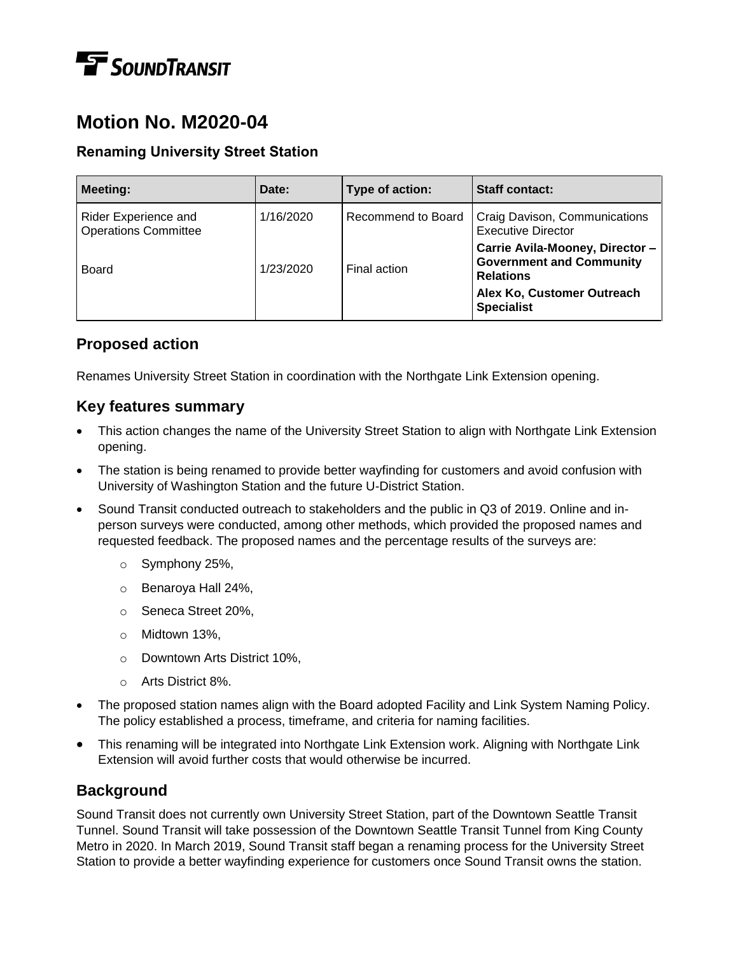# **T** SOUND TRANSIT

# **Motion No. M2020-04**

#### **Renaming University Street Station**

| <b>Meeting:</b>                                     | Date:     | Type of action:    | <b>Staff contact:</b>                                                                                                                     |
|-----------------------------------------------------|-----------|--------------------|-------------------------------------------------------------------------------------------------------------------------------------------|
| Rider Experience and<br><b>Operations Committee</b> | 1/16/2020 | Recommend to Board | Craig Davison, Communications<br><b>Executive Director</b>                                                                                |
| <b>Board</b>                                        | 1/23/2020 | Final action       | Carrie Avila-Mooney, Director -<br><b>Government and Community</b><br><b>Relations</b><br>Alex Ko, Customer Outreach<br><b>Specialist</b> |

## **Proposed action**

Renames University Street Station in coordination with the Northgate Link Extension opening.

#### **Key features summary**

- This action changes the name of the University Street Station to align with Northgate Link Extension opening.
- The station is being renamed to provide better wayfinding for customers and avoid confusion with University of Washington Station and the future U-District Station.
- Sound Transit conducted outreach to stakeholders and the public in Q3 of 2019. Online and inperson surveys were conducted, among other methods, which provided the proposed names and requested feedback. The proposed names and the percentage results of the surveys are:
	- o Symphony 25%,
	- o Benaroya Hall 24%,
	- o Seneca Street 20%,
	- o Midtown 13%,
	- o Downtown Arts District 10%,
	- o Arts District 8%.
- The proposed station names align with the Board adopted Facility and Link System Naming Policy. The policy established a process, timeframe, and criteria for naming facilities.
- This renaming will be integrated into Northgate Link Extension work. Aligning with Northgate Link Extension will avoid further costs that would otherwise be incurred.

# **Background**

Sound Transit does not currently own University Street Station, part of the Downtown Seattle Transit Tunnel. Sound Transit will take possession of the Downtown Seattle Transit Tunnel from King County Metro in 2020. In March 2019, Sound Transit staff began a renaming process for the University Street Station to provide a better wayfinding experience for customers once Sound Transit owns the station.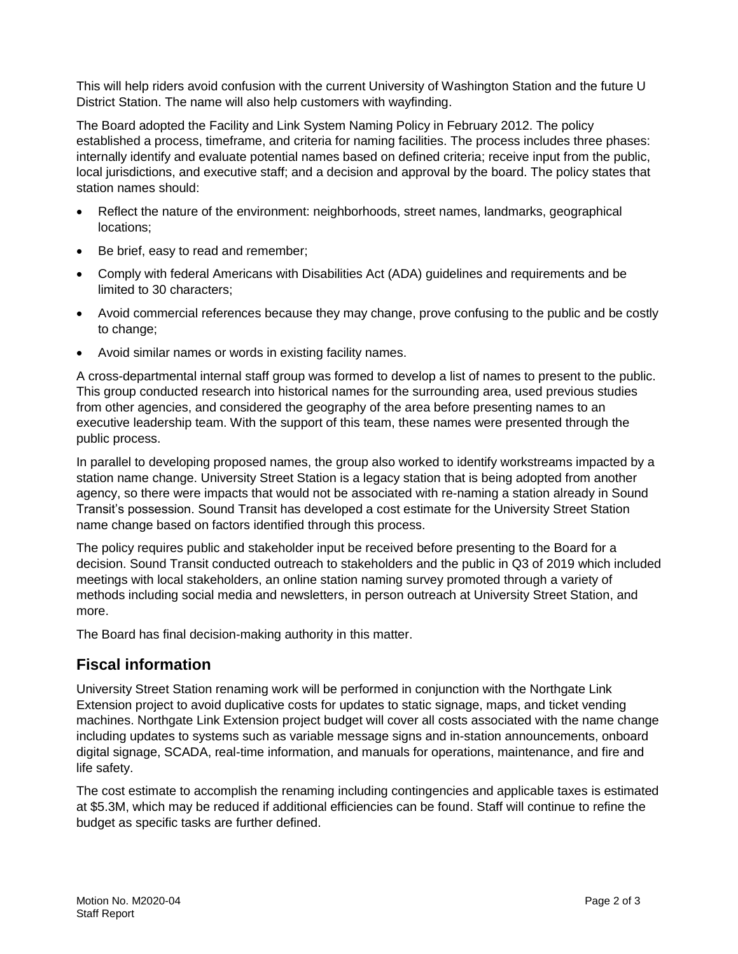This will help riders avoid confusion with the current University of Washington Station and the future U District Station. The name will also help customers with wayfinding.

The Board adopted the Facility and Link System Naming Policy in February 2012. The policy established a process, timeframe, and criteria for naming facilities. The process includes three phases: internally identify and evaluate potential names based on defined criteria; receive input from the public, local jurisdictions, and executive staff; and a decision and approval by the board. The policy states that station names should:

- Reflect the nature of the environment: neighborhoods, street names, landmarks, geographical locations;
- Be brief, easy to read and remember;
- Comply with federal Americans with Disabilities Act (ADA) guidelines and requirements and be limited to 30 characters;
- Avoid commercial references because they may change, prove confusing to the public and be costly to change;
- Avoid similar names or words in existing facility names.

A cross-departmental internal staff group was formed to develop a list of names to present to the public. This group conducted research into historical names for the surrounding area, used previous studies from other agencies, and considered the geography of the area before presenting names to an executive leadership team. With the support of this team, these names were presented through the public process.

In parallel to developing proposed names, the group also worked to identify workstreams impacted by a station name change. University Street Station is a legacy station that is being adopted from another agency, so there were impacts that would not be associated with re-naming a station already in Sound Transit's possession. Sound Transit has developed a cost estimate for the University Street Station name change based on factors identified through this process.

The policy requires public and stakeholder input be received before presenting to the Board for a decision. Sound Transit conducted outreach to stakeholders and the public in Q3 of 2019 which included meetings with local stakeholders, an online station naming survey promoted through a variety of methods including social media and newsletters, in person outreach at University Street Station, and more.

The Board has final decision-making authority in this matter.

## **Fiscal information**

University Street Station renaming work will be performed in conjunction with the Northgate Link Extension project to avoid duplicative costs for updates to static signage, maps, and ticket vending machines. Northgate Link Extension project budget will cover all costs associated with the name change including updates to systems such as variable message signs and in-station announcements, onboard digital signage, SCADA, real-time information, and manuals for operations, maintenance, and fire and life safety.

The cost estimate to accomplish the renaming including contingencies and applicable taxes is estimated at \$5.3M, which may be reduced if additional efficiencies can be found. Staff will continue to refine the budget as specific tasks are further defined.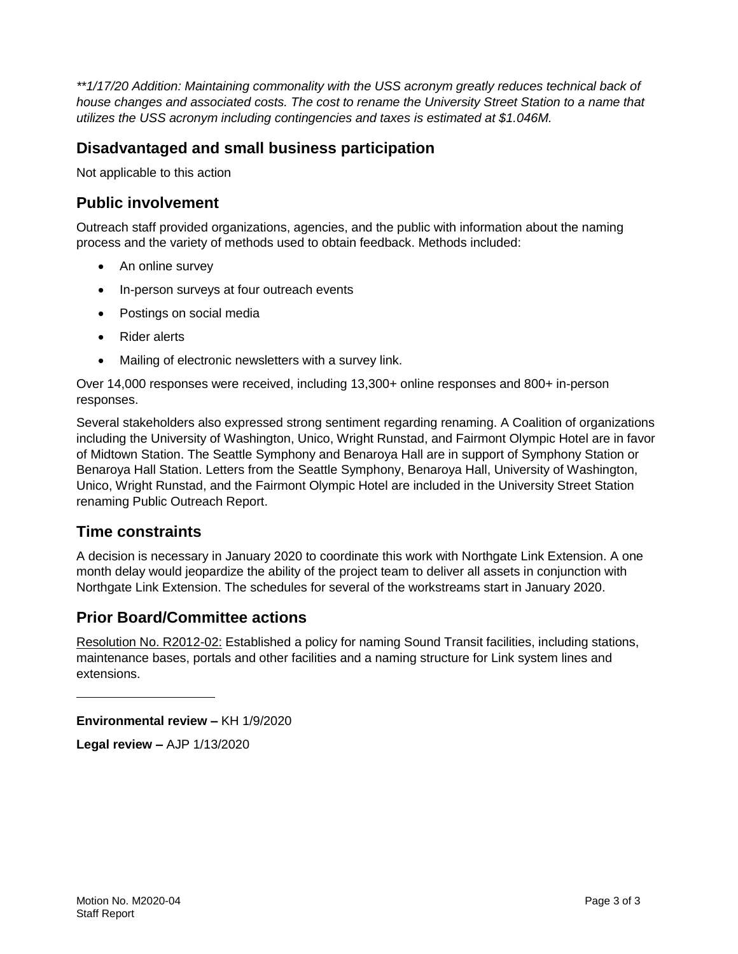*\*\*1/17/20 Addition: Maintaining commonality with the USS acronym greatly reduces technical back of house changes and associated costs. The cost to rename the University Street Station to a name that utilizes the USS acronym including contingencies and taxes is estimated at \$1.046M.*

#### **Disadvantaged and small business participation**

Not applicable to this action

#### **Public involvement**

Outreach staff provided organizations, agencies, and the public with information about the naming process and the variety of methods used to obtain feedback. Methods included:

- An online survey
- In-person surveys at four outreach events
- Postings on social media
- Rider alerts
- Mailing of electronic newsletters with a survey link.

Over 14,000 responses were received, including 13,300+ online responses and 800+ in-person responses.

Several stakeholders also expressed strong sentiment regarding renaming. A Coalition of organizations including the University of Washington, Unico, Wright Runstad, and Fairmont Olympic Hotel are in favor of Midtown Station. The Seattle Symphony and Benaroya Hall are in support of Symphony Station or Benaroya Hall Station. Letters from the Seattle Symphony, Benaroya Hall, University of Washington, Unico, Wright Runstad, and the Fairmont Olympic Hotel are included in the University Street Station renaming Public Outreach Report.

#### **Time constraints**

A decision is necessary in January 2020 to coordinate this work with Northgate Link Extension. A one month delay would jeopardize the ability of the project team to deliver all assets in conjunction with Northgate Link Extension. The schedules for several of the workstreams start in January 2020.

#### **Prior Board/Committee actions**

Resolution No. R2012-02: Established a policy for naming Sound Transit facilities, including stations, maintenance bases, portals and other facilities and a naming structure for Link system lines and extensions.

**Environmental review –** KH 1/9/2020

**Legal review –** AJP 1/13/2020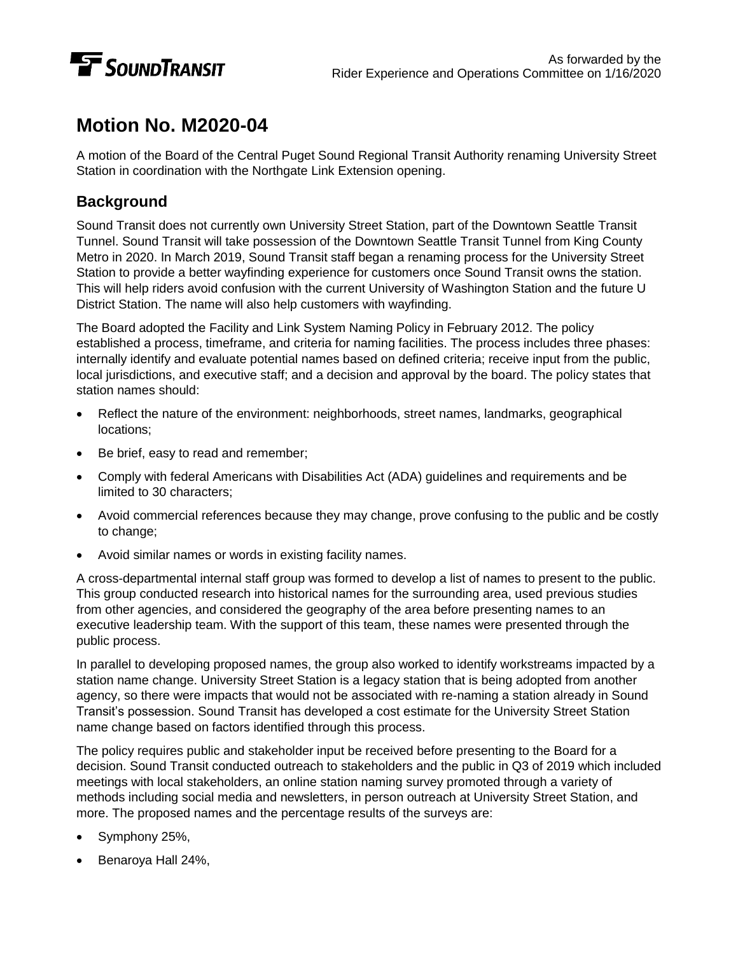

# **Motion No. M2020-04**

A motion of the Board of the Central Puget Sound Regional Transit Authority renaming University Street Station in coordination with the Northgate Link Extension opening.

### **Background**

Sound Transit does not currently own University Street Station, part of the Downtown Seattle Transit Tunnel. Sound Transit will take possession of the Downtown Seattle Transit Tunnel from King County Metro in 2020. In March 2019, Sound Transit staff began a renaming process for the University Street Station to provide a better wayfinding experience for customers once Sound Transit owns the station. This will help riders avoid confusion with the current University of Washington Station and the future U District Station. The name will also help customers with wayfinding.

The Board adopted the Facility and Link System Naming Policy in February 2012. The policy established a process, timeframe, and criteria for naming facilities. The process includes three phases: internally identify and evaluate potential names based on defined criteria; receive input from the public, local jurisdictions, and executive staff; and a decision and approval by the board. The policy states that station names should:

- Reflect the nature of the environment: neighborhoods, street names, landmarks, geographical locations;
- Be brief, easy to read and remember;
- Comply with federal Americans with Disabilities Act (ADA) guidelines and requirements and be limited to 30 characters;
- Avoid commercial references because they may change, prove confusing to the public and be costly to change;
- Avoid similar names or words in existing facility names.

A cross-departmental internal staff group was formed to develop a list of names to present to the public. This group conducted research into historical names for the surrounding area, used previous studies from other agencies, and considered the geography of the area before presenting names to an executive leadership team. With the support of this team, these names were presented through the public process.

In parallel to developing proposed names, the group also worked to identify workstreams impacted by a station name change. University Street Station is a legacy station that is being adopted from another agency, so there were impacts that would not be associated with re-naming a station already in Sound Transit's possession. Sound Transit has developed a cost estimate for the University Street Station name change based on factors identified through this process.

The policy requires public and stakeholder input be received before presenting to the Board for a decision. Sound Transit conducted outreach to stakeholders and the public in Q3 of 2019 which included meetings with local stakeholders, an online station naming survey promoted through a variety of methods including social media and newsletters, in person outreach at University Street Station, and more. The proposed names and the percentage results of the surveys are:

- Symphony 25%,
- Benaroya Hall 24%,